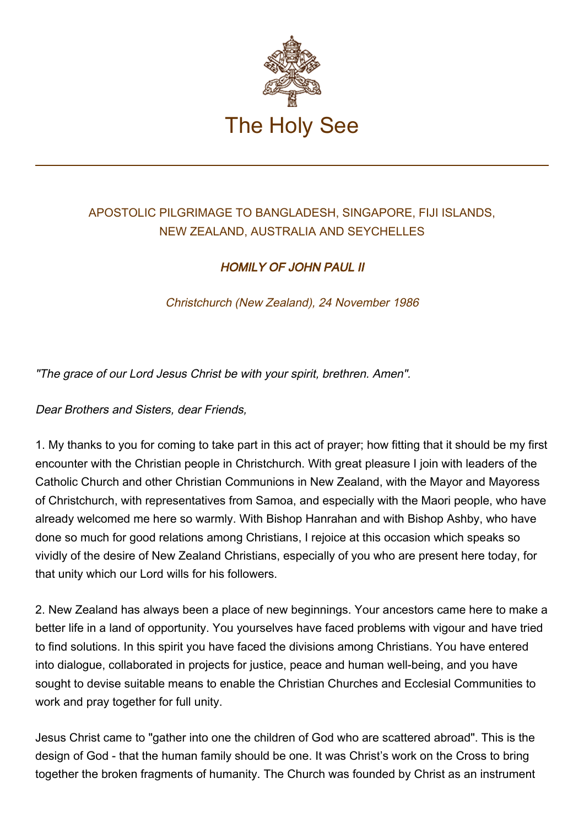

## APOSTOLIC PILGRIMAGE TO BANGLADESH, SINGAPORE, FIJI ISLANDS, NEW ZEALAND, AUSTRALIA AND SEYCHELLES

## HOMILY OF JOHN PAUL II

Christchurch (New Zealand), 24 November 1986

"The grace of our Lord Jesus Christ be with your spirit, brethren. Amen".

Dear Brothers and Sisters, dear Friends,

1. My thanks to you for coming to take part in this act of prayer; how fitting that it should be my first encounter with the Christian people in Christchurch. With great pleasure I join with leaders of the Catholic Church and other Christian Communions in New Zealand, with the Mayor and Mayoress of Christchurch, with representatives from Samoa, and especially with the Maori people, who have already welcomed me here so warmly. With Bishop Hanrahan and with Bishop Ashby, who have done so much for good relations among Christians, I rejoice at this occasion which speaks so vividly of the desire of New Zealand Christians, especially of you who are present here today, for that unity which our Lord wills for his followers.

2. New Zealand has always been a place of new beginnings. Your ancestors came here to make a better life in a land of opportunity. You yourselves have faced problems with vigour and have tried to find solutions. In this spirit you have faced the divisions among Christians. You have entered into dialogue, collaborated in projects for justice, peace and human well-being, and you have sought to devise suitable means to enable the Christian Churches and Ecclesial Communities to work and pray together for full unity.

Jesus Christ came to "gather into one the children of God who are scattered abroad". This is the design of God - that the human family should be one. It was Christ's work on the Cross to bring together the broken fragments of humanity. The Church was founded by Christ as an instrument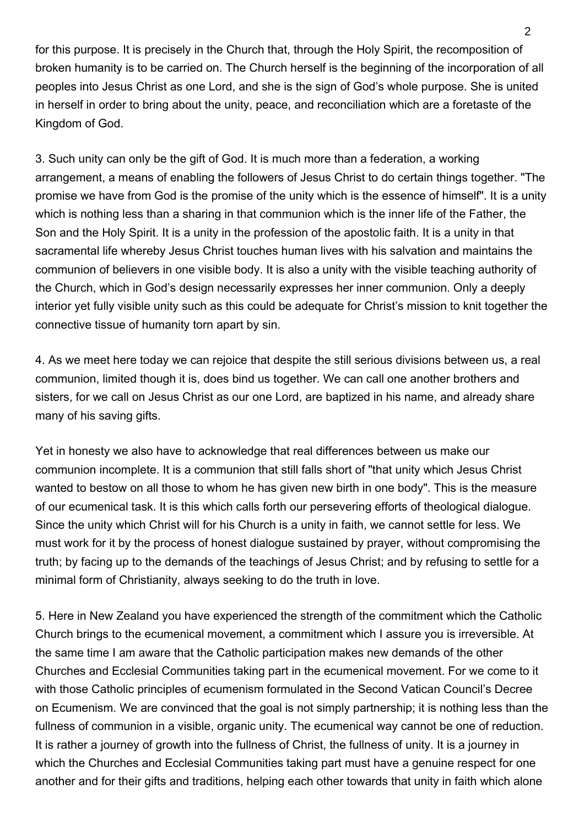for this purpose. It is precisely in the Church that, through the Holy Spirit, the recomposition of broken humanity is to be carried on. The Church herself is the beginning of the incorporation of all peoples into Jesus Christ as one Lord, and she is the sign of God's whole purpose. She is united in herself in order to bring about the unity, peace, and reconciliation which are a foretaste of the Kingdom of God.

3. Such unity can only be the gift of God. It is much more than a federation, a working arrangement, a means of enabling the followers of Jesus Christ to do certain things together. "The promise we have from God is the promise of the unity which is the essence of himself". It is a unity which is nothing less than a sharing in that communion which is the inner life of the Father, the Son and the Holy Spirit. It is a unity in the profession of the apostolic faith. It is a unity in that sacramental life whereby Jesus Christ touches human lives with his salvation and maintains the communion of believers in one visible body. It is also a unity with the visible teaching authority of the Church, which in God's design necessarily expresses her inner communion. Only a deeply interior yet fully visible unity such as this could be adequate for Christ's mission to knit together the connective tissue of humanity torn apart by sin.

4. As we meet here today we can rejoice that despite the still serious divisions between us, a real communion, limited though it is, does bind us together. We can call one another brothers and sisters, for we call on Jesus Christ as our one Lord, are baptized in his name, and already share many of his saving gifts.

Yet in honesty we also have to acknowledge that real differences between us make our communion incomplete. It is a communion that still falls short of "that unity which Jesus Christ wanted to bestow on all those to whom he has given new birth in one body". This is the measure of our ecumenical task. It is this which calls forth our persevering efforts of theological dialogue. Since the unity which Christ will for his Church is a unity in faith, we cannot settle for less. We must work for it by the process of honest dialogue sustained by prayer, without compromising the truth; by facing up to the demands of the teachings of Jesus Christ; and by refusing to settle for a minimal form of Christianity, always seeking to do the truth in love.

5. Here in New Zealand you have experienced the strength of the commitment which the Catholic Church brings to the ecumenical movement, a commitment which I assure you is irreversible. At the same time I am aware that the Catholic participation makes new demands of the other Churches and Ecclesial Communities taking part in the ecumenical movement. For we come to it with those Catholic principles of ecumenism formulated in the Second Vatican Council's Decree on Ecumenism. We are convinced that the goal is not simply partnership; it is nothing less than the fullness of communion in a visible, organic unity. The ecumenical way cannot be one of reduction. It is rather a journey of growth into the fullness of Christ, the fullness of unity. It is a journey in which the Churches and Ecclesial Communities taking part must have a genuine respect for one another and for their gifts and traditions, helping each other towards that unity in faith which alone